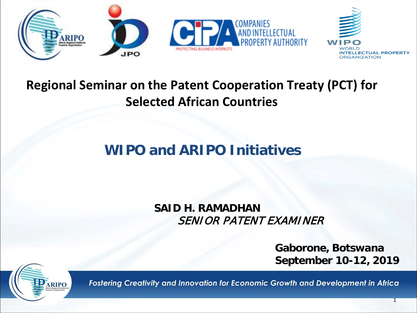

#### **Regional Seminar on the Patent Cooperation Treaty (PCT) for Selected African Countries**

### **WIPO and ARIPO Initiatives**

**SAID H. RAMADHAN** SENIOR PATENT EXAMINER

> **Gaborone, Botswana September 10-12, 2019**

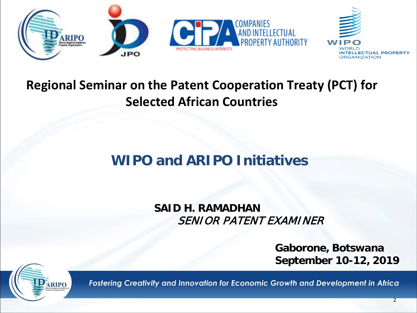

#### **Regional Seminar on the Patent Cooperation Treaty (PCT) for Selected African Countries**

### **WIPO and ARIPO Initiatives**

**SAID H. RAMADHAN** SENIOR PATENT EXAMINER

> **Gaborone, Botswana September 10-12, 2019**

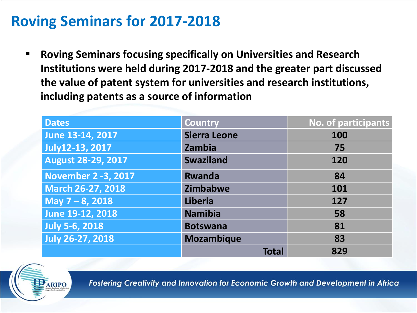## **Roving Seminars for 2017-2018**

 **Roving Seminars focusing specifically on Universities and Research Institutions were held during 2017-2018 and the greater part discussed the value of patent system for universities and research institutions, including patents as a source of information**

| <b>Dates</b>               | <b>Country</b>          | No. of participants |  |
|----------------------------|-------------------------|---------------------|--|
| June 13-14, 2017           | <b>Sierra Leone</b>     | 100                 |  |
| <b>July12-13, 2017</b>     | Zambia                  | 75                  |  |
| <b>August 28-29, 2017</b>  | <b>Swaziland</b><br>120 |                     |  |
| <b>November 2 -3, 2017</b> | <b>Rwanda</b>           | 84                  |  |
| <b>March 26-27, 2018</b>   | Zimbabwe<br>101         |                     |  |
| May $7 - 8$ , 2018         | <b>Liberia</b>          | 127                 |  |
| June 19-12, 2018           | <b>Namibia</b>          | 58                  |  |
| <b>July 5-6, 2018</b>      | <b>Botswana</b>         | 81                  |  |
| <b>July 26-27, 2018</b>    | <b>Mozambique</b>       | 83                  |  |
|                            | <b>Total</b>            | 829                 |  |

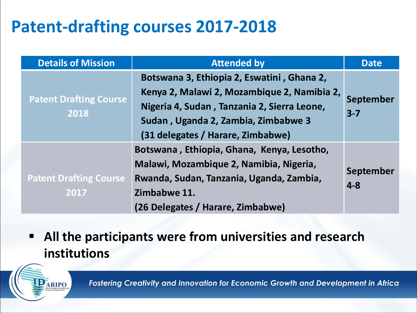# **Patent-drafting courses 2017-2018**

| <b>Details of Mission</b>             | <b>Attended by</b>                                                                                                                                                                                                   | <b>Date</b>          |
|---------------------------------------|----------------------------------------------------------------------------------------------------------------------------------------------------------------------------------------------------------------------|----------------------|
| <b>Patent Drafting Course</b><br>2018 | Botswana 3, Ethiopia 2, Eswatini, Ghana 2,<br>Kenya 2, Malawi 2, Mozambique 2, Namibia 2,<br>Nigeria 4, Sudan, Tanzania 2, Sierra Leone,<br>Sudan, Uganda 2, Zambia, Zimbabwe 3<br>(31 delegates / Harare, Zimbabwe) | September<br>$3 - 7$ |
| <b>Patent Drafting Course</b><br>2017 | Botswana, Ethiopia, Ghana, Kenya, Lesotho,<br>Malawi, Mozambique 2, Namibia, Nigeria,<br>Rwanda, Sudan, Tanzania, Uganda, Zambia,<br>Zimbabwe 11.<br>(26 Delegates / Harare, Zimbabwe)                               | September<br>$4 - 8$ |

 **All the participants were from universities and research institutions**

ARIPO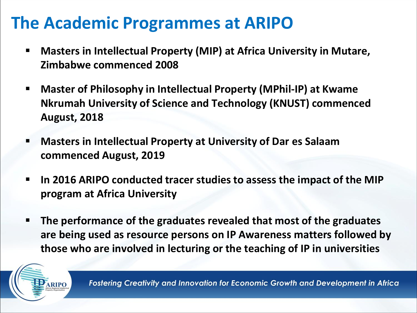# **The Academic Programmes at ARIPO**

- **Masters in Intellectual Property (MIP) at Africa University in Mutare, Zimbabwe commenced 2008**
- **Master of Philosophy in Intellectual Property (MPhil-IP) at Kwame Nkrumah University of Science and Technology (KNUST) commenced August, 2018**
- **Masters in Intellectual Property at University of Dar es Salaam commenced August, 2019**
- **In 2016 ARIPO conducted tracer studies to assess the impact of the MIP program at Africa University**
- **The performance of the graduates revealed that most of the graduates are being used as resource persons on IP Awareness matters followed by those who are involved in lecturing or the teaching of IP in universities**